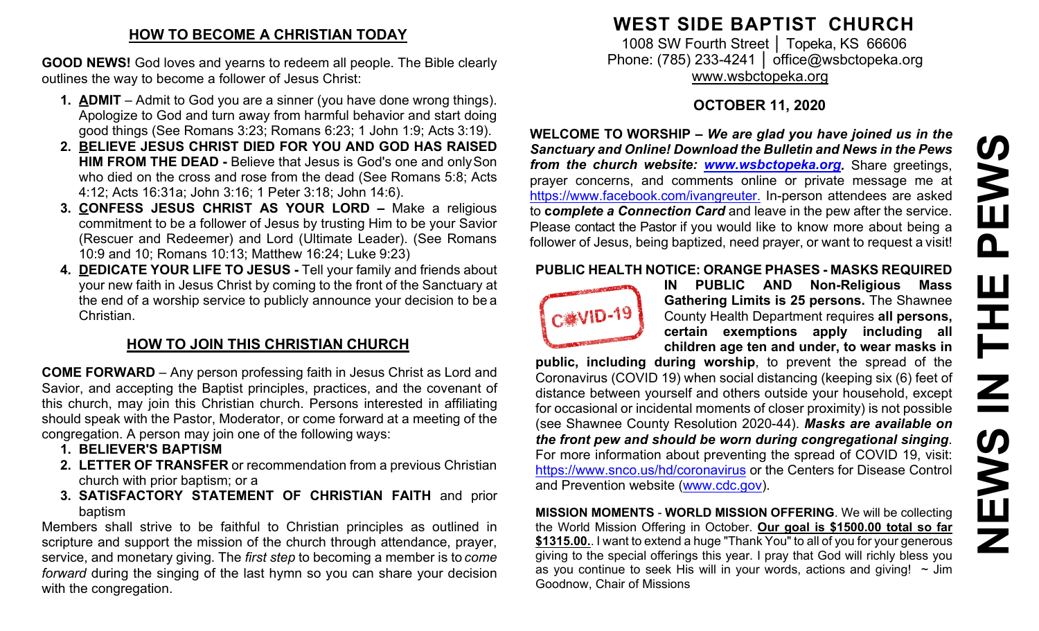### **HOW TO BECOME A CHRISTIAN TODAY**

**GOOD NEWS!** God loves and yearns to redeem all people. The Bible clearly outlines the way to become a follower of Jesus Christ:

- **1. ADMIT**  Admit to God you are a sinner (you have done wrong things). Apologize to God and turn away from harmful behavior and start doing good things (See Romans 3:23; Romans 6:23; 1 John 1:9; Acts 3:19).
- **2. BELIEVE JESUS CHRIST DIED FOR YOU AND GOD HAS RAISED HIM FROM THE DEAD -** Believe that Jesus is God's one and onlySon who died on the cross and rose from the dead (See Romans 5:8; Acts 4:12; Acts 16:31a; John 3:16; 1 Peter 3:18; John 14:6).
- **3. CONFESS JESUS CHRIST AS YOUR LORD –** Make a religious commitment to be a follower of Jesus by trusting Him to be your Savior (Rescuer and Redeemer) and Lord (Ultimate Leader). (See Romans 10:9 and 10; Romans 10:13; Matthew 16:24; Luke 9:23)
- **4. DEDICATE YOUR LIFE TO JESUS -** Tell your family and friends about your new faith in Jesus Christ by coming to the front of the Sanctuary at the end of a worship service to publicly announce your decision to be a Christian.

## **HOW TO JOIN THIS CHRISTIAN CHURCH**

**COME FORWARD** – Any person professing faith in Jesus Christ as Lord and Savior, and accepting the Baptist principles, practices, and the covenant of this church, may join this Christian church. Persons interested in affiliating should speak with the Pastor, Moderator, or come forward at a meeting of the congregation. A person may join one of the following ways:

- **1. BELIEVER'S BAPTISM**
- **2. LETTER OF TRANSFER** or recommendation from a previous Christian church with prior baptism; or a
- **3. SATISFACTORY STATEMENT OF CHRISTIAN FAITH** and prior baptism

Members shall strive to be faithful to Christian principles as outlined in scripture and support the mission of the church through attendance, prayer, service, and monetary giving. The *first step* to becoming a member is to *come forward* during the singing of the last hymn so you can share your decision with the congregation.

# **WEST SIDE BAPTIST CHURCH**

1008 SW Fourth Street | Topeka, KS 66606 Phone: (785) 233-4241 │ [office@wsbctopeka.org](mailto:office@wsbctopeka.org) [www.wsbctopeka.org](http://www.wsbctopeka.org/)

## **OCTOBER 11, 2020**

**WELCOME TO WORSHIP –** *We are glad you have joined us in the Sanctuary and Online! Download the Bulletin and News in the Pews from the church website: [www.wsbctopeka.org.](http://www.wsbctopeka.org/)* Share greetings, prayer concerns, and comments online or private message me at <https://www.facebook.com/ivangreuter.> In-person attendees are asked to **c***omplete a Connection Card* and leave in the pew after the service. Please contact the Pastor if you would like to know more about being a follower of Jesus, being baptized, need prayer, or want to request a visit!

#### **PUBLIC HEALTH NOTICE: ORANGE PHASES - MASKS REQUIRED**



**IN PUBLIC AND Non-Religious Mass Gathering Limits is 25 persons.** The Shawnee County Health Department requires **all persons, certain exemptions apply including all children age ten and under, to wear masks in** 

**public, including during worship**, to prevent the spread of the Coronavirus (COVID 19) when social distancing (keeping six (6) feet of distance between yourself and others outside your household, except for occasional or incidental moments of closer proximity) is not possible (see Shawnee County Resolution 2020-44). *Masks are available on the front pew and should be worn during congregational singing*. For more information about preventing the spread of COVID 19, visit: <https://www.snco.us/hd/coronavirus> or the Centers for Disease Control and Prevention website [\(www.cdc.gov\)](http://www.cdc.gov/).

**MISSION MOMENTS** - **WORLD MISSION OFFERING**. We will be collecting the World Mission Offering in October. **Our goal is \$1500.00 total so far \$1315.00.**. I want to extend a huge "Thank You" to all of you for your generous giving to the special offerings this year. I pray that God will richly bless you as you continue to seek His will in your words, actions and giving!  $\sim$  Jim Goodnow, Chair of Missions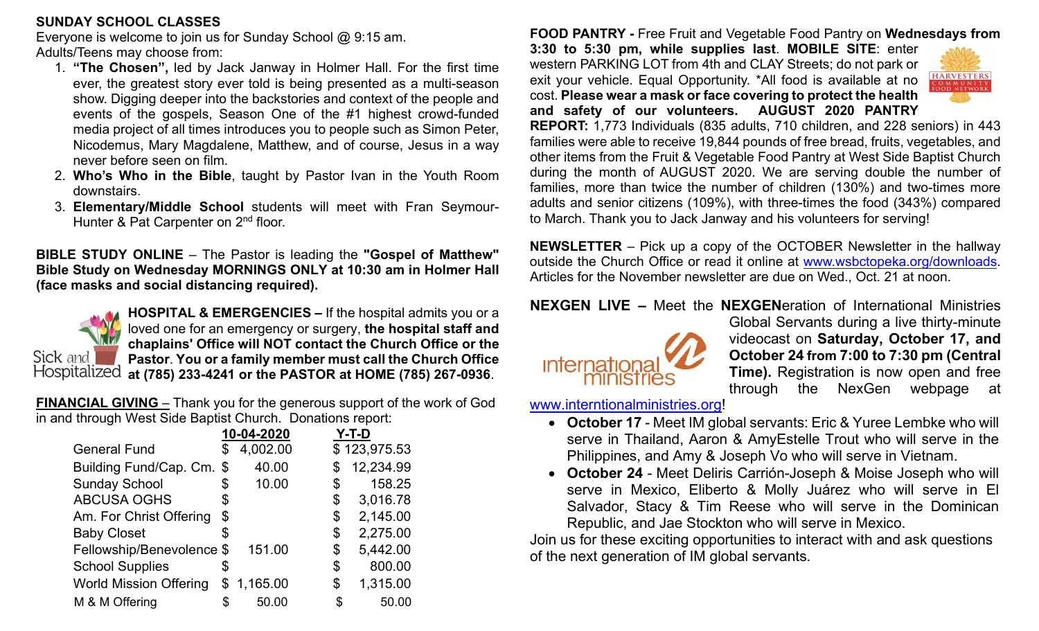#### **SUNDAY SCHOOL CLASSES**

Everyone is welcome to join us for Sunday School @ 9:15 am. Adults/Teens may choose from:

- 1. **"The Chosen",** led by Jack Janway in Holmer Hall. For the first time ever, the greatest story ever told is being presented as a multi-season show. Digging deeper into the backstories and context of the people and events of the gospels, Season One of the #1 highest crowd-funded media project of all times introduces you to people such as Simon Peter, Nicodemus, Mary Magdalene, Matthew, and of course, Jesus in a way never before seen on film.
- 2. **Who's Who in the Bible**, taught by Pastor Ivan in the Youth Room downstairs.
- 3. **Elementary/Middle School** students will meet with Fran Seymour-Hunter & Pat Carpenter on 2<sup>nd</sup> floor.

**BIBLE STUDY ONLINE** – The Pastor is leading the **"Gospel of Matthew" Bible Study on Wednesday MORNINGS ONLY at 10:30 am in Holmer Hall (face masks and social distancing required).** 



**HOSPITAL & EMERGENCIES –** If the hospital admits you or a loved one for an emergency or surgery, **the hospital staff and chaplains' Office will NOT contact the Church Office or the Pastor**. **You or a family member must call the Church Office at (785) 233-4241 or the PASTOR at HOME (785) 267-0936**.

**FINANCIAL GIVING** – Thank you for the generous support of the work of God in and through West Side Baptist Church. Donations report:

|                               | 10-04-2020 |            | Y-T-D           |  |
|-------------------------------|------------|------------|-----------------|--|
| <b>General Fund</b>           | S          | 4,002.00   | \$123,975.53    |  |
| Building Fund/Cap. Cm. \$     |            | 40.00      | \$<br>12,234.99 |  |
| <b>Sunday School</b>          | S          | 10.00      | \$<br>158.25    |  |
| <b>ABCUSA OGHS</b>            | \$         |            | \$<br>3,016.78  |  |
| Am. For Christ Offering       | \$         |            | \$<br>2,145.00  |  |
| <b>Baby Closet</b>            | \$         |            | \$<br>2,275.00  |  |
| Fellowship/Benevolence \$     |            | 151.00     | \$<br>5,442.00  |  |
| <b>School Supplies</b>        | \$         |            | \$<br>800.00    |  |
| <b>World Mission Offering</b> |            | \$1,165.00 | \$<br>1,315.00  |  |
| M & M Offering                |            | 50.00      | 50.00           |  |

**FOOD PANTRY -** Free Fruit and Vegetable Food Pantry on **Wednesdays from** 

**3:30 to 5:30 pm, while supplies last**. **MOBILE SITE**: enter western PARKING LOT from 4th and CLAY Streets; do not park or exit your vehicle. Equal Opportunity. \*All food is available at no cost. **Please wear a mask or face covering to protect the health and safety of our volunteers. AUGUST 2020 PANTRY** 



**REPORT:** 1,773 Individuals (835 adults, 710 children, and 228 seniors) in 443 families were able to receive 19,844 pounds of free bread, fruits, vegetables, and other items from the Fruit & Vegetable Food Pantry at West Side Baptist Church during the month of AUGUST 2020. We are serving double the number of families, more than twice the number of children (130%) and two-times more adults and senior citizens (109%), with three-times the food (343%) compared to March. Thank you to Jack Janway and his volunteers for serving!

**NEWSLETTER** – Pick up a copy of the OCTOBER Newsletter in the hallway outside the Church Office or read it online at [www.wsbctopeka.org/downloads.](http://www.wsbctopeka.org/downloads) Articles for the November newsletter are due on Wed., Oct. 21 at noon.

**NEXGEN LIVE –** Meet the **NEXGEN**eration of International Ministries



Global Servants during a live thirty-minute videocast on **Saturday, October 17, and October 24 from 7:00 to 7:30 pm (Central Time).** Registration is now open and free through the NexGen webpage at

[www.interntionalministries.org!](http://www.interntionalministries.org/)

- **October 17** Meet IM global servants: Eric & Yuree Lembke who will serve in Thailand, Aaron & AmyEstelle Trout who will serve in the Philippines, and Amy & Joseph Vo who will serve in Vietnam.
- **October 24** Meet Deliris Carrión-Joseph & Moise Joseph who will serve in Mexico, Eliberto & Molly Juárez who will serve in El Salvador, Stacy & Tim Reese who will serve in the Dominican Republic, and Jae Stockton who will serve in Mexico.

Join us for these exciting opportunities to interact with and ask questions of the next generation of IM global servants.